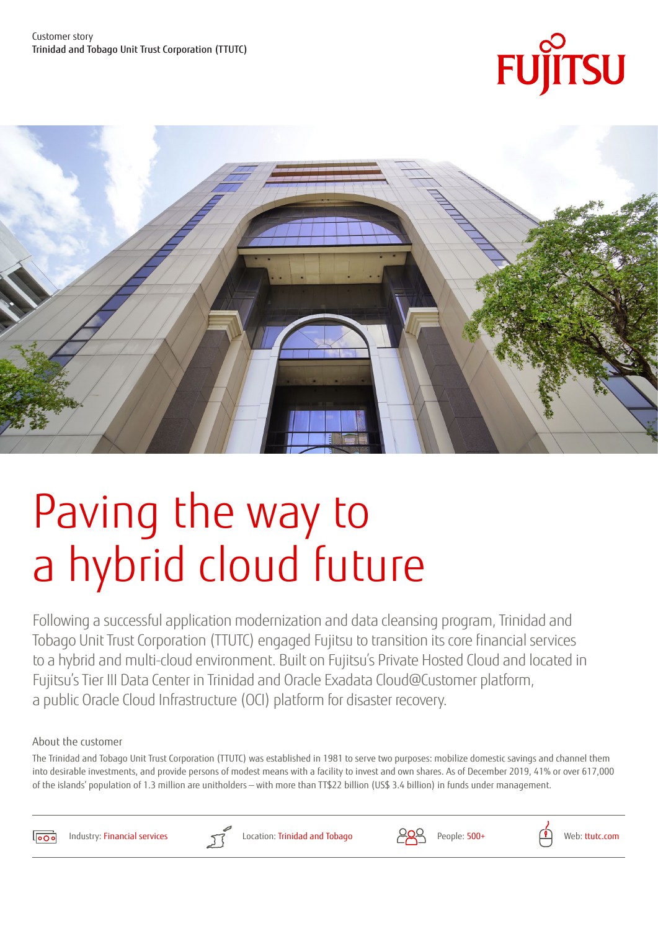



# Paving the way to a hybrid cloud future

Following a successful application modernization and data cleansing program, Trinidad and Tobago Unit Trust Corporation (TTUTC) engaged Fujitsu to transition its core financial services to a hybrid and multi-cloud environment. Built on Fujitsu's Private Hosted Cloud and located in Fujitsu's Tier III Data Center in Trinidad and Oracle Exadata Cloud@Customer platform, a public Oracle Cloud Infrastructure (OCI) platform for disaster recovery.

#### About the customer

The Trinidad and Tobago Unit Trust Corporation (TTUTC) was established in 1981 to serve two purposes: mobilize domestic savings and channel them into desirable investments, and provide persons of modest means with a facility to invest and own shares. As of December 2019, 41% or over 617,000 of the islands' population of 1.3 million are unitholders — with more than TT\$22 billion (US\$ 3.4 billion) in funds under management.  $\overline{\mathbf{C}}$ 



Industry: Financial services

Education Retail Financial Services Manufacturing Public Services Public Sector Construction and



Location: Trinidad and Tobago  $\overline{Q}$  People: 500+  $\overline{P}$  Web: [ttutc.com](https://www.ttutc.com/)



Technology Agriculture Watchmaking Charity Automotive

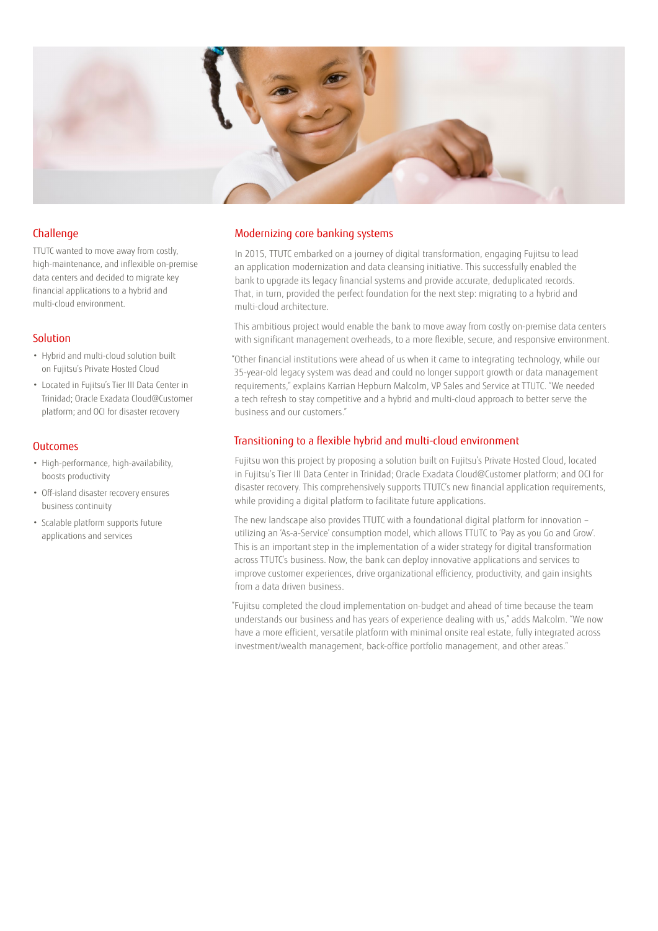

#### Challenge

TTUTC wanted to move away from costly, high-maintenance, and inflexible on-premise data centers and decided to migrate key financial applications to a hybrid and multi-cloud environment.

#### Solution

- Hybrid and multi-cloud solution built on Fujitsu's Private Hosted Cloud
- Located in Fujitsu's Tier III Data Center in Trinidad; Oracle Exadata Cloud@Customer platform; and OCI for disaster recovery

#### **Outcomes**

- High-performance, high-availability, boosts productivity
- Off-island disaster recovery ensures business continuity
- Scalable platform supports future applications and services

#### Modernizing core banking systems

In 2015, TTUTC embarked on a journey of digital transformation, engaging Fujitsu to lead an application modernization and data cleansing initiative. This successfully enabled the bank to upgrade its legacy financial systems and provide accurate, deduplicated records. That, in turn, provided the perfect foundation for the next step: migrating to a hybrid and multi-cloud architecture.

This ambitious project would enable the bank to move away from costly on-premise data centers with significant management overheads, to a more flexible, secure, and responsive environment.

"Other financial institutions were ahead of us when it came to integrating technology, while our 35-year-old legacy system was dead and could no longer support growth or data management requirements," explains Karrian Hepburn Malcolm, VP Sales and Service at TTUTC. "We needed a tech refresh to stay competitive and a hybrid and multi-cloud approach to better serve the business and our customers."

#### Transitioning to a flexible hybrid and multi-cloud environment

Fujitsu won this project by proposing a solution built on Fujitsu's Private Hosted Cloud, located in Fujitsu's Tier III Data Center in Trinidad; Oracle Exadata Cloud@Customer platform; and OCI for disaster recovery. This comprehensively supports TTUTC's new financial application requirements, while providing a digital platform to facilitate future applications.

The new landscape also provides TTUTC with a foundational digital platform for innovation – utilizing an 'As-a-Service' consumption model, which allows TTUTC to 'Pay as you Go and Grow'. This is an important step in the implementation of a wider strategy for digital transformation across TTUTC's business. Now, the bank can deploy innovative applications and services to improve customer experiences, drive organizational efficiency, productivity, and gain insights from a data driven business.

"Fujitsu completed the cloud implementation on-budget and ahead of time because the team understands our business and has years of experience dealing with us," adds Malcolm. "We now have a more efficient, versatile platform with minimal onsite real estate, fully integrated across investment/wealth management, back-office portfolio management, and other areas."